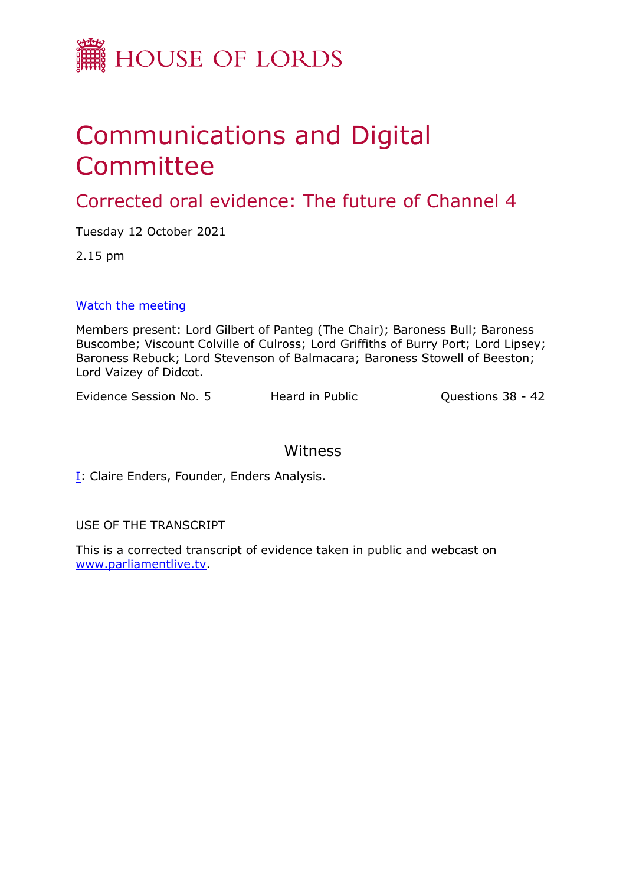

## Communications and Digital Committee

Corrected oral evidence: The future of Channel 4

Tuesday 12 October 2021

2.15 pm

[Watch](https://committees.parliament.uk/event/5586/formal-meeting-oral-evidence-session/) [the](https://committees.parliament.uk/event/5586/formal-meeting-oral-evidence-session/) [meeting](https://committees.parliament.uk/event/5586/formal-meeting-oral-evidence-session/)

Members present: Lord Gilbert of Panteg (The Chair); Baroness Bull; Baroness Buscombe; Viscount Colville of Culross; Lord Griffiths of Burry Port; Lord Lipsey; Baroness Rebuck; Lord Stevenson of Balmacara; Baroness Stowell of Beeston; Lord Vaizey of Didcot.

Evidence Session No. 5 Heard in Public Cuestions 38 - 42

## Witness

**[I:](#page-1-0) Claire Enders, Founder, Enders Analysis.** 

USE OF THE TRANSCRIPT

This is a corrected transcript of evidence taken in public and webcast on [www.parliamentlive.tv](http://www.parliamentlive.tv/).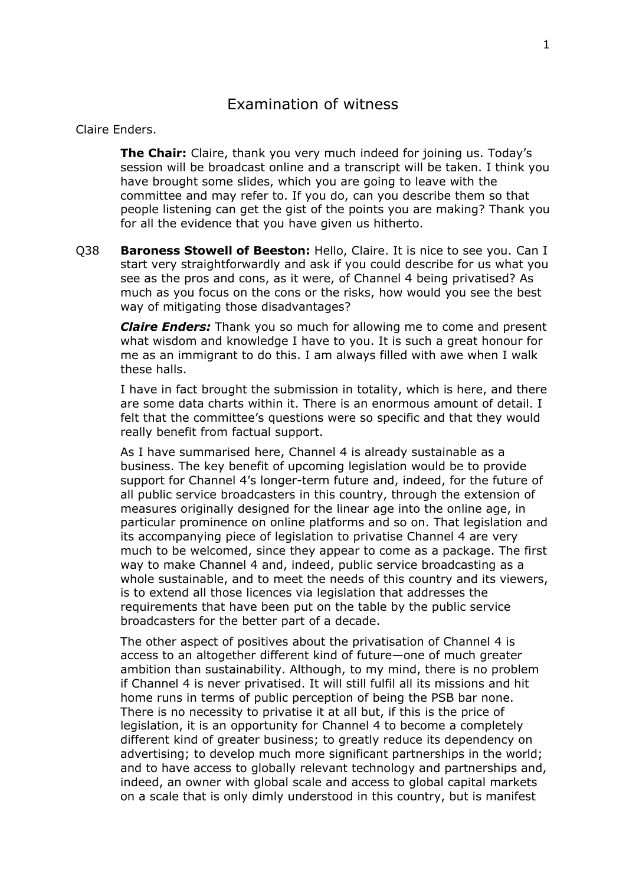## Claire Enders.

<span id="page-1-0"></span>**The Chair:** Claire, thank you very much indeed for joining us. Today's session will be broadcast online and a transcript will be taken. I think you have brought some slides, which you are going to leave with the committee and may refer to. If you do, can you describe them so that people listening can get the gist of the points you are making? Thank you for all the evidence that you have given us hitherto.

Q38 **Baroness Stowell of Beeston:** Hello, Claire. It is nice to see you. Can I start very straightforwardly and ask if you could describe for us what you see as the pros and cons, as it were, of Channel 4 being privatised? As much as you focus on the cons or the risks, how would you see the best way of mitigating those disadvantages?

*Claire Enders:* Thank you so much for allowing me to come and present what wisdom and knowledge I have to you. It is such a great honour for me as an immigrant to do this. I am always filled with awe when I walk these halls.

I have in fact brought the submission in totality, which is here, and there are some data charts within it. There is an enormous amount of detail. I felt that the committee's questions were so specific and that they would really benefit from factual support.

As I have summarised here, Channel 4 is already sustainable as a business. The key benefit of upcoming legislation would be to provide support for Channel 4's longer-term future and, indeed, for the future of all public service broadcasters in this country, through the extension of measures originally designed for the linear age into the online age, in particular prominence on online platforms and so on. That legislation and its accompanying piece of legislation to privatise Channel 4 are very much to be welcomed, since they appear to come as a package. The first way to make Channel 4 and, indeed, public service broadcasting as a whole sustainable, and to meet the needs of this country and its viewers, is to extend all those licences via legislation that addresses the requirements that have been put on the table by the public service broadcasters for the better part of a decade.

The other aspect of positives about the privatisation of Channel 4 is access to an altogether different kind of future—one of much greater ambition than sustainability. Although, to my mind, there is no problem if Channel 4 is never privatised. It will still fulfil all its missions and hit home runs in terms of public perception of being the PSB bar none. There is no necessity to privatise it at all but, if this is the price of legislation, it is an opportunity for Channel 4 to become a completely different kind of greater business; to greatly reduce its dependency on advertising; to develop much more significant partnerships in the world; and to have access to globally relevant technology and partnerships and, indeed, an owner with global scale and access to global capital markets on a scale that is only dimly understood in this country, but is manifest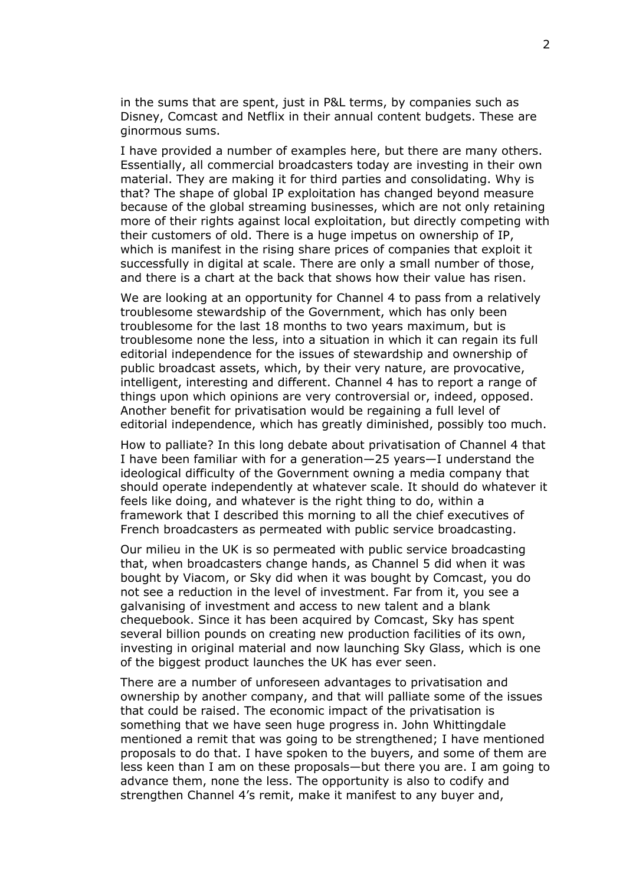in the sums that are spent, just in P&L terms, by companies such as Disney, Comcast and Netflix in their annual content budgets. These are ginormous sums.

I have provided a number of examples here, but there are many others. Essentially, all commercial broadcasters today are investing in their own material. They are making it for third parties and consolidating. Why is that? The shape of global IP exploitation has changed beyond measure because of the global streaming businesses, which are not only retaining more of their rights against local exploitation, but directly competing with their customers of old. There is a huge impetus on ownership of IP, which is manifest in the rising share prices of companies that exploit it successfully in digital at scale. There are only a small number of those, and there is a chart at the back that shows how their value has risen.

We are looking at an opportunity for Channel 4 to pass from a relatively troublesome stewardship of the Government, which has only been troublesome for the last 18 months to two years maximum, but is troublesome none the less, into a situation in which it can regain its full editorial independence for the issues of stewardship and ownership of public broadcast assets, which, by their very nature, are provocative, intelligent, interesting and different. Channel 4 has to report a range of things upon which opinions are very controversial or, indeed, opposed. Another benefit for privatisation would be regaining a full level of editorial independence, which has greatly diminished, possibly too much.

How to palliate? In this long debate about privatisation of Channel 4 that I have been familiar with for a generation—25 years—I understand the ideological difficulty of the Government owning a media company that should operate independently at whatever scale. It should do whatever it feels like doing, and whatever is the right thing to do, within a framework that I described this morning to all the chief executives of French broadcasters as permeated with public service broadcasting.

Our milieu in the UK is so permeated with public service broadcasting that, when broadcasters change hands, as Channel 5 did when it was bought by Viacom, or Sky did when it was bought by Comcast, you do not see a reduction in the level of investment. Far from it, you see a galvanising of investment and access to new talent and a blank chequebook. Since it has been acquired by Comcast, Sky has spent several billion pounds on creating new production facilities of its own, investing in original material and now launching Sky Glass, which is one of the biggest product launches the UK has ever seen.

There are a number of unforeseen advantages to privatisation and ownership by another company, and that will palliate some of the issues that could be raised. The economic impact of the privatisation is something that we have seen huge progress in. John Whittingdale mentioned a remit that was going to be strengthened; I have mentioned proposals to do that. I have spoken to the buyers, and some of them are less keen than I am on these proposals—but there you are. I am going to advance them, none the less. The opportunity is also to codify and strengthen Channel 4's remit, make it manifest to any buyer and,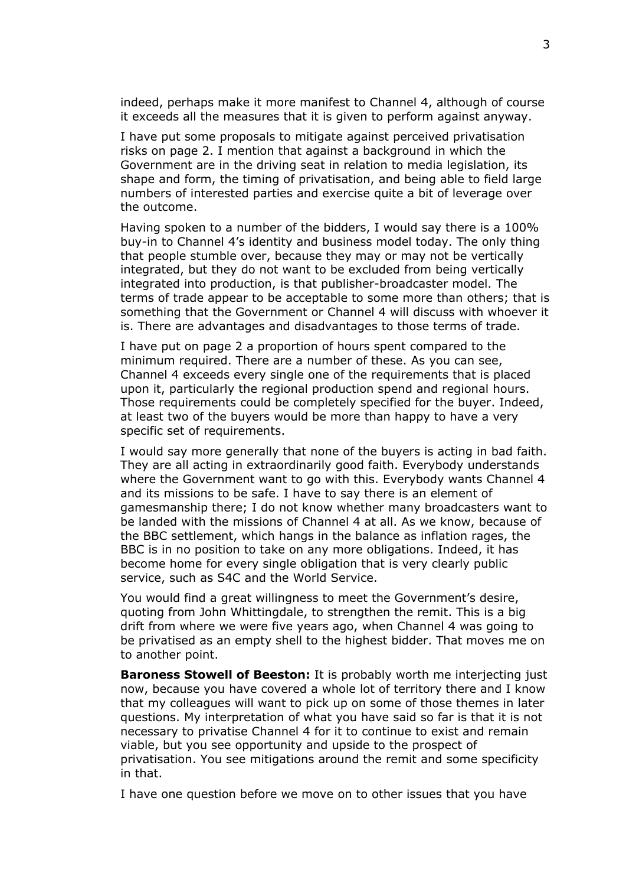indeed, perhaps make it more manifest to Channel 4, although of course it exceeds all the measures that it is given to perform against anyway.

I have put some proposals to mitigate against perceived privatisation risks on page 2. I mention that against a background in which the Government are in the driving seat in relation to media legislation, its shape and form, the timing of privatisation, and being able to field large numbers of interested parties and exercise quite a bit of leverage over the outcome.

Having spoken to a number of the bidders, I would say there is a 100% buy-in to Channel 4's identity and business model today. The only thing that people stumble over, because they may or may not be vertically integrated, but they do not want to be excluded from being vertically integrated into production, is that publisher-broadcaster model. The terms of trade appear to be acceptable to some more than others; that is something that the Government or Channel 4 will discuss with whoever it is. There are advantages and disadvantages to those terms of trade.

I have put on page 2 a proportion of hours spent compared to the minimum required. There are a number of these. As you can see, Channel 4 exceeds every single one of the requirements that is placed upon it, particularly the regional production spend and regional hours. Those requirements could be completely specified for the buyer. Indeed, at least two of the buyers would be more than happy to have a very specific set of requirements.

I would say more generally that none of the buyers is acting in bad faith. They are all acting in extraordinarily good faith. Everybody understands where the Government want to go with this. Everybody wants Channel 4 and its missions to be safe. I have to say there is an element of gamesmanship there; I do not know whether many broadcasters want to be landed with the missions of Channel 4 at all. As we know, because of the BBC settlement, which hangs in the balance as inflation rages, the BBC is in no position to take on any more obligations. Indeed, it has become home for every single obligation that is very clearly public service, such as S4C and the World Service.

You would find a great willingness to meet the Government's desire, quoting from John Whittingdale, to strengthen the remit. This is a big drift from where we were five years ago, when Channel 4 was going to be privatised as an empty shell to the highest bidder. That moves me on to another point.

**Baroness Stowell of Beeston:** It is probably worth me interjecting just now, because you have covered a whole lot of territory there and I know that my colleagues will want to pick up on some of those themes in later questions. My interpretation of what you have said so far is that it is not necessary to privatise Channel 4 for it to continue to exist and remain viable, but you see opportunity and upside to the prospect of privatisation. You see mitigations around the remit and some specificity in that.

I have one question before we move on to other issues that you have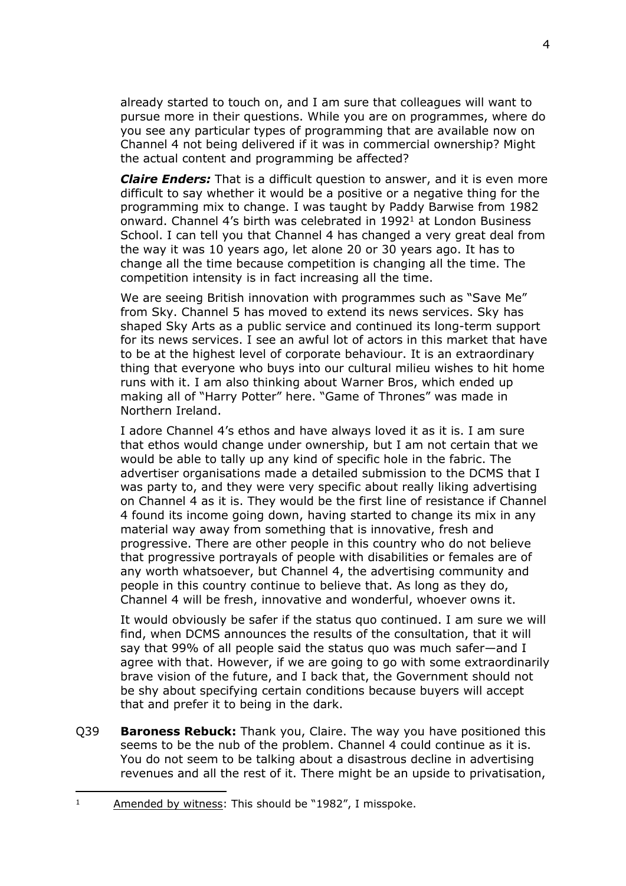already started to touch on, and I am sure that colleagues will want to pursue more in their questions. While you are on programmes, where do you see any particular types of programming that are available now on Channel 4 not being delivered if it was in commercial ownership? Might the actual content and programming be affected?

*Claire Enders:* That is a difficult question to answer, and it is even more difficult to say whether it would be a positive or a negative thing for the programming mix to change. I was taught by Paddy Barwise from 1982 onward. Channel 4's birth was celebrated in 1992<sup>1</sup> at London Business School. I can tell you that Channel 4 has changed a very great deal from the way it was 10 years ago, let alone 20 or 30 years ago. It has to change all the time because competition is changing all the time. The competition intensity is in fact increasing all the time.

We are seeing British innovation with programmes such as "Save Me" from Sky. Channel 5 has moved to extend its news services. Sky has shaped Sky Arts as a public service and continued its long-term support for its news services. I see an awful lot of actors in this market that have to be at the highest level of corporate behaviour. It is an extraordinary thing that everyone who buys into our cultural milieu wishes to hit home runs with it. I am also thinking about Warner Bros, which ended up making all of "Harry Potter" here. "Game of Thrones" was made in Northern Ireland.

I adore Channel 4's ethos and have always loved it as it is. I am sure that ethos would change under ownership, but I am not certain that we would be able to tally up any kind of specific hole in the fabric. The advertiser organisations made a detailed submission to the DCMS that I was party to, and they were very specific about really liking advertising on Channel 4 as it is. They would be the first line of resistance if Channel 4 found its income going down, having started to change its mix in any material way away from something that is innovative, fresh and progressive. There are other people in this country who do not believe that progressive portrayals of people with disabilities or females are of any worth whatsoever, but Channel 4, the advertising community and people in this country continue to believe that. As long as they do, Channel 4 will be fresh, innovative and wonderful, whoever owns it.

It would obviously be safer if the status quo continued. I am sure we will find, when DCMS announces the results of the consultation, that it will say that 99% of all people said the status quo was much safer—and I agree with that. However, if we are going to go with some extraordinarily brave vision of the future, and I back that, the Government should not be shy about specifying certain conditions because buyers will accept that and prefer it to being in the dark.

Q39 **Baroness Rebuck:** Thank you, Claire. The way you have positioned this seems to be the nub of the problem. Channel 4 could continue as it is. You do not seem to be talking about a disastrous decline in advertising revenues and all the rest of it. There might be an upside to privatisation,

<sup>&</sup>lt;sup>1</sup> Amended by witness: This should be "1982", I misspoke.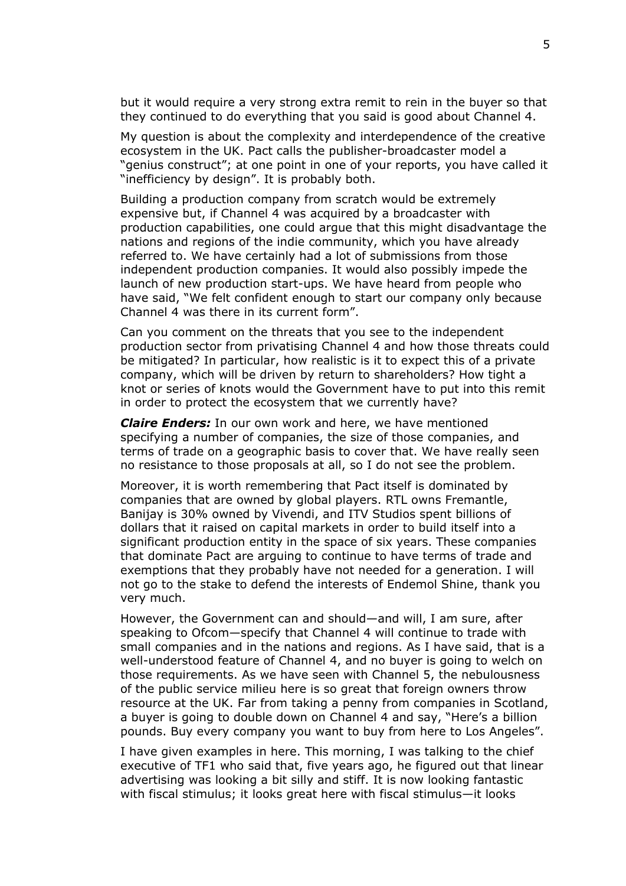but it would require a very strong extra remit to rein in the buyer so that they continued to do everything that you said is good about Channel 4.

My question is about the complexity and interdependence of the creative ecosystem in the UK. Pact calls the publisher-broadcaster model a "genius construct"; at one point in one of your reports, you have called it "inefficiency by design". It is probably both.

Building a production company from scratch would be extremely expensive but, if Channel 4 was acquired by a broadcaster with production capabilities, one could argue that this might disadvantage the nations and regions of the indie community, which you have already referred to. We have certainly had a lot of submissions from those independent production companies. It would also possibly impede the launch of new production start-ups. We have heard from people who have said, "We felt confident enough to start our company only because Channel 4 was there in its current form".

Can you comment on the threats that you see to the independent production sector from privatising Channel 4 and how those threats could be mitigated? In particular, how realistic is it to expect this of a private company, which will be driven by return to shareholders? How tight a knot or series of knots would the Government have to put into this remit in order to protect the ecosystem that we currently have?

*Claire Enders:* In our own work and here, we have mentioned specifying a number of companies, the size of those companies, and terms of trade on a geographic basis to cover that. We have really seen no resistance to those proposals at all, so I do not see the problem.

Moreover, it is worth remembering that Pact itself is dominated by companies that are owned by global players. RTL owns Fremantle, Banijay is 30% owned by Vivendi, and ITV Studios spent billions of dollars that it raised on capital markets in order to build itself into a significant production entity in the space of six years. These companies that dominate Pact are arguing to continue to have terms of trade and exemptions that they probably have not needed for a generation. I will not go to the stake to defend the interests of Endemol Shine, thank you very much.

However, the Government can and should—and will, I am sure, after speaking to Ofcom—specify that Channel 4 will continue to trade with small companies and in the nations and regions. As I have said, that is a well-understood feature of Channel 4, and no buyer is going to welch on those requirements. As we have seen with Channel 5, the nebulousness of the public service milieu here is so great that foreign owners throw resource at the UK. Far from taking a penny from companies in Scotland, a buyer is going to double down on Channel 4 and say, "Here's a billion pounds. Buy every company you want to buy from here to Los Angeles".

I have given examples in here. This morning, I was talking to the chief executive of TF1 who said that, five years ago, he figured out that linear advertising was looking a bit silly and stiff. It is now looking fantastic with fiscal stimulus; it looks great here with fiscal stimulus—it looks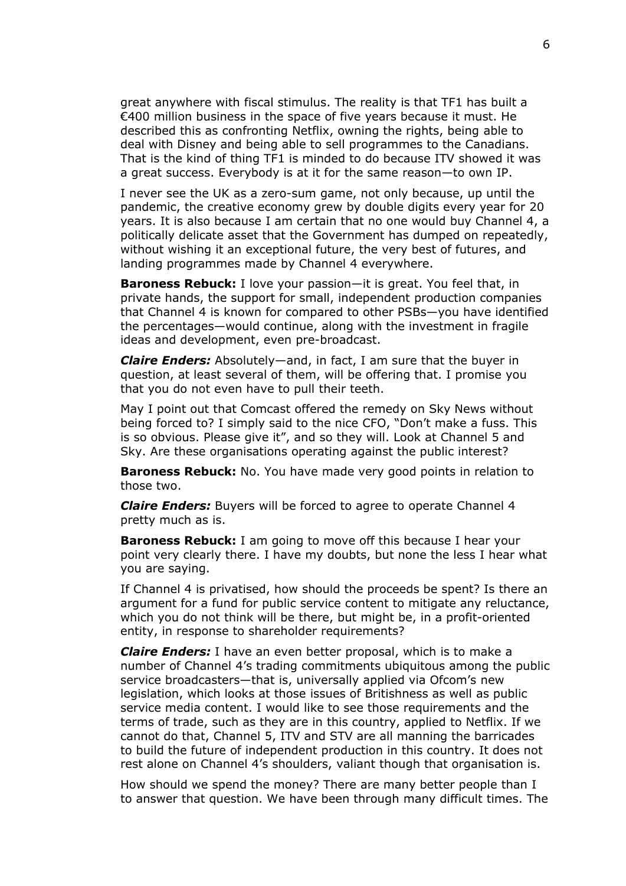great anywhere with fiscal stimulus. The reality is that TF1 has built a €400 million business in the space of five years because it must. He described this as confronting Netflix, owning the rights, being able to deal with Disney and being able to sell programmes to the Canadians. That is the kind of thing TF1 is minded to do because ITV showed it was a great success. Everybody is at it for the same reason—to own IP.

I never see the UK as a zero-sum game, not only because, up until the pandemic, the creative economy grew by double digits every year for 20 years. It is also because I am certain that no one would buy Channel 4, a politically delicate asset that the Government has dumped on repeatedly, without wishing it an exceptional future, the very best of futures, and landing programmes made by Channel 4 everywhere.

**Baroness Rebuck:** I love your passion—it is great. You feel that, in private hands, the support for small, independent production companies that Channel 4 is known for compared to other PSBs—you have identified the percentages—would continue, along with the investment in fragile ideas and development, even pre-broadcast.

*Claire Enders:* Absolutely—and, in fact, I am sure that the buyer in question, at least several of them, will be offering that. I promise you that you do not even have to pull their teeth.

May I point out that Comcast offered the remedy on Sky News without being forced to? I simply said to the nice CFO, "Don't make a fuss. This is so obvious. Please give it", and so they will. Look at Channel 5 and Sky. Are these organisations operating against the public interest?

**Baroness Rebuck:** No. You have made very good points in relation to those two.

*Claire Enders:* Buyers will be forced to agree to operate Channel 4 pretty much as is.

**Baroness Rebuck:** I am going to move off this because I hear your point very clearly there. I have my doubts, but none the less I hear what you are saying.

If Channel 4 is privatised, how should the proceeds be spent? Is there an argument for a fund for public service content to mitigate any reluctance, which you do not think will be there, but might be, in a profit-oriented entity, in response to shareholder requirements?

*Claire Enders:* I have an even better proposal, which is to make a number of Channel 4's trading commitments ubiquitous among the public service broadcasters—that is, universally applied via Ofcom's new legislation, which looks at those issues of Britishness as well as public service media content. I would like to see those requirements and the terms of trade, such as they are in this country, applied to Netflix. If we cannot do that, Channel 5, ITV and STV are all manning the barricades to build the future of independent production in this country. It does not rest alone on Channel 4's shoulders, valiant though that organisation is.

How should we spend the money? There are many better people than I to answer that question. We have been through many difficult times. The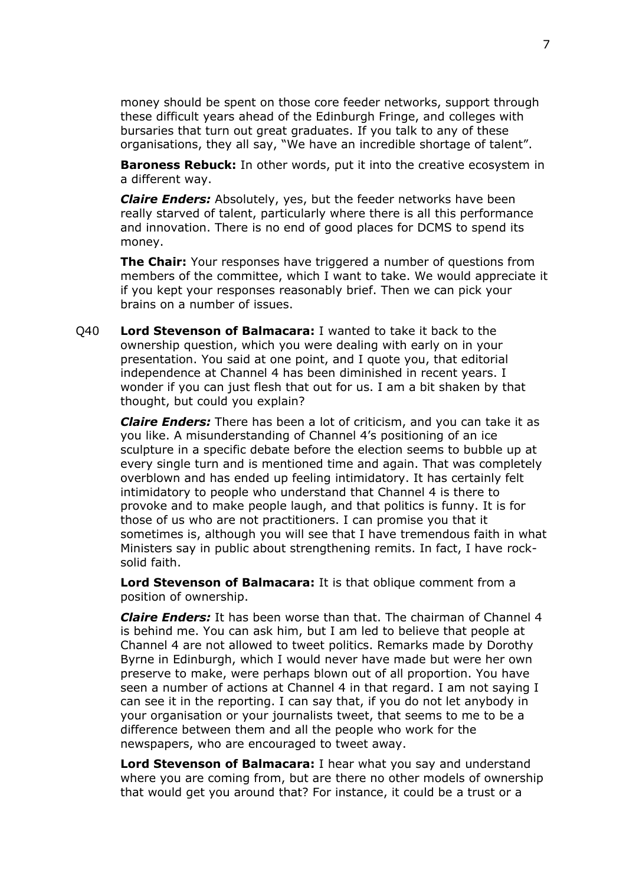money should be spent on those core feeder networks, support through these difficult years ahead of the Edinburgh Fringe, and colleges with bursaries that turn out great graduates. If you talk to any of these organisations, they all say, "We have an incredible shortage of talent".

**Baroness Rebuck:** In other words, put it into the creative ecosystem in a different way.

*Claire Enders:* Absolutely, yes, but the feeder networks have been really starved of talent, particularly where there is all this performance and innovation. There is no end of good places for DCMS to spend its money.

**The Chair:** Your responses have triggered a number of questions from members of the committee, which I want to take. We would appreciate it if you kept your responses reasonably brief. Then we can pick your brains on a number of issues.

Q40 **Lord Stevenson of Balmacara:** I wanted to take it back to the ownership question, which you were dealing with early on in your presentation. You said at one point, and I quote you, that editorial independence at Channel 4 has been diminished in recent years. I wonder if you can just flesh that out for us. I am a bit shaken by that thought, but could you explain?

*Claire Enders:* There has been a lot of criticism, and you can take it as you like. A misunderstanding of Channel 4's positioning of an ice sculpture in a specific debate before the election seems to bubble up at every single turn and is mentioned time and again. That was completely overblown and has ended up feeling intimidatory. It has certainly felt intimidatory to people who understand that Channel 4 is there to provoke and to make people laugh, and that politics is funny. It is for those of us who are not practitioners. I can promise you that it sometimes is, although you will see that I have tremendous faith in what Ministers say in public about strengthening remits. In fact, I have rocksolid faith.

**Lord Stevenson of Balmacara:** It is that oblique comment from a position of ownership.

*Claire Enders:* It has been worse than that. The chairman of Channel 4 is behind me. You can ask him, but I am led to believe that people at Channel 4 are not allowed to tweet politics. Remarks made by Dorothy Byrne in Edinburgh, which I would never have made but were her own preserve to make, were perhaps blown out of all proportion. You have seen a number of actions at Channel 4 in that regard. I am not saying I can see it in the reporting. I can say that, if you do not let anybody in your organisation or your journalists tweet, that seems to me to be a difference between them and all the people who work for the newspapers, who are encouraged to tweet away.

**Lord Stevenson of Balmacara:** I hear what you say and understand where you are coming from, but are there no other models of ownership that would get you around that? For instance, it could be a trust or a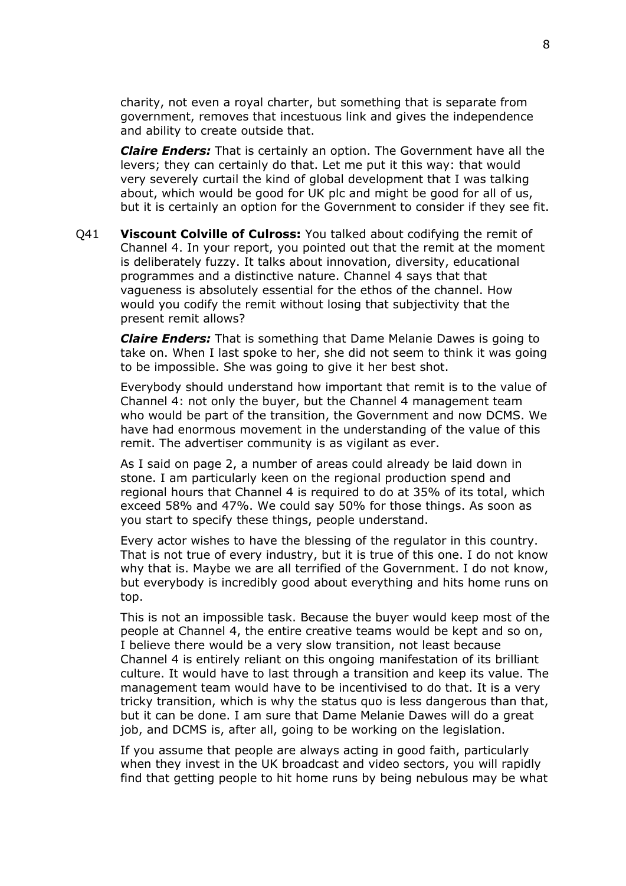charity, not even a royal charter, but something that is separate from government, removes that incestuous link and gives the independence and ability to create outside that.

*Claire Enders:* That is certainly an option. The Government have all the levers; they can certainly do that. Let me put it this way: that would very severely curtail the kind of global development that I was talking about, which would be good for UK plc and might be good for all of us, but it is certainly an option for the Government to consider if they see fit.

Q41 **Viscount Colville of Culross:** You talked about codifying the remit of Channel 4. In your report, you pointed out that the remit at the moment is deliberately fuzzy. It talks about innovation, diversity, educational programmes and a distinctive nature. Channel 4 says that that vagueness is absolutely essential for the ethos of the channel. How would you codify the remit without losing that subjectivity that the present remit allows?

*Claire Enders:* That is something that Dame Melanie Dawes is going to take on. When I last spoke to her, she did not seem to think it was going to be impossible. She was going to give it her best shot.

Everybody should understand how important that remit is to the value of Channel 4: not only the buyer, but the Channel 4 management team who would be part of the transition, the Government and now DCMS. We have had enormous movement in the understanding of the value of this remit. The advertiser community is as vigilant as ever.

As I said on page 2, a number of areas could already be laid down in stone. I am particularly keen on the regional production spend and regional hours that Channel 4 is required to do at 35% of its total, which exceed 58% and 47%. We could say 50% for those things. As soon as you start to specify these things, people understand.

Every actor wishes to have the blessing of the regulator in this country. That is not true of every industry, but it is true of this one. I do not know why that is. Maybe we are all terrified of the Government. I do not know, but everybody is incredibly good about everything and hits home runs on top.

This is not an impossible task. Because the buyer would keep most of the people at Channel 4, the entire creative teams would be kept and so on, I believe there would be a very slow transition, not least because Channel 4 is entirely reliant on this ongoing manifestation of its brilliant culture. It would have to last through a transition and keep its value. The management team would have to be incentivised to do that. It is a very tricky transition, which is why the status quo is less dangerous than that, but it can be done. I am sure that Dame Melanie Dawes will do a great job, and DCMS is, after all, going to be working on the legislation.

If you assume that people are always acting in good faith, particularly when they invest in the UK broadcast and video sectors, you will rapidly find that getting people to hit home runs by being nebulous may be what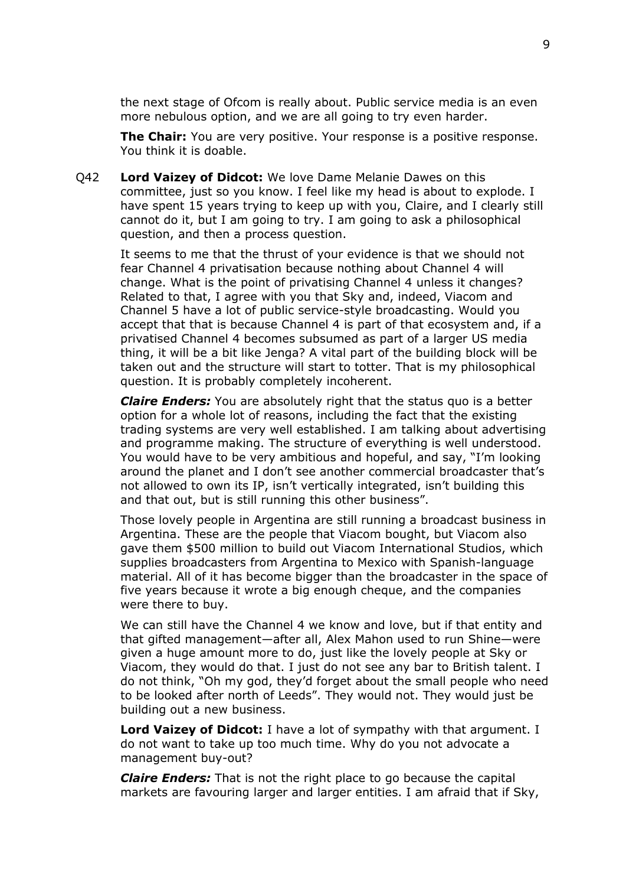the next stage of Ofcom is really about. Public service media is an even more nebulous option, and we are all going to try even harder.

**The Chair:** You are very positive. Your response is a positive response. You think it is doable.

Q42 **Lord Vaizey of Didcot:** We love Dame Melanie Dawes on this committee, just so you know. I feel like my head is about to explode. I have spent 15 years trying to keep up with you, Claire, and I clearly still cannot do it, but I am going to try. I am going to ask a philosophical question, and then a process question.

It seems to me that the thrust of your evidence is that we should not fear Channel 4 privatisation because nothing about Channel 4 will change. What is the point of privatising Channel 4 unless it changes? Related to that, I agree with you that Sky and, indeed, Viacom and Channel 5 have a lot of public service-style broadcasting. Would you accept that that is because Channel 4 is part of that ecosystem and, if a privatised Channel 4 becomes subsumed as part of a larger US media thing, it will be a bit like Jenga? A vital part of the building block will be taken out and the structure will start to totter. That is my philosophical question. It is probably completely incoherent.

*Claire Enders:* You are absolutely right that the status quo is a better option for a whole lot of reasons, including the fact that the existing trading systems are very well established. I am talking about advertising and programme making. The structure of everything is well understood. You would have to be very ambitious and hopeful, and say, "I'm looking around the planet and I don't see another commercial broadcaster that's not allowed to own its IP, isn't vertically integrated, isn't building this and that out, but is still running this other business".

Those lovely people in Argentina are still running a broadcast business in Argentina. These are the people that Viacom bought, but Viacom also gave them \$500 million to build out Viacom International Studios, which supplies broadcasters from Argentina to Mexico with Spanish-language material. All of it has become bigger than the broadcaster in the space of five years because it wrote a big enough cheque, and the companies were there to buy.

We can still have the Channel 4 we know and love, but if that entity and that gifted management—after all, Alex Mahon used to run Shine—were given a huge amount more to do, just like the lovely people at Sky or Viacom, they would do that. I just do not see any bar to British talent. I do not think, "Oh my god, they'd forget about the small people who need to be looked after north of Leeds". They would not. They would just be building out a new business.

**Lord Vaizey of Didcot:** I have a lot of sympathy with that argument. I do not want to take up too much time. Why do you not advocate a management buy-out?

*Claire Enders:* That is not the right place to go because the capital markets are favouring larger and larger entities. I am afraid that if Sky,